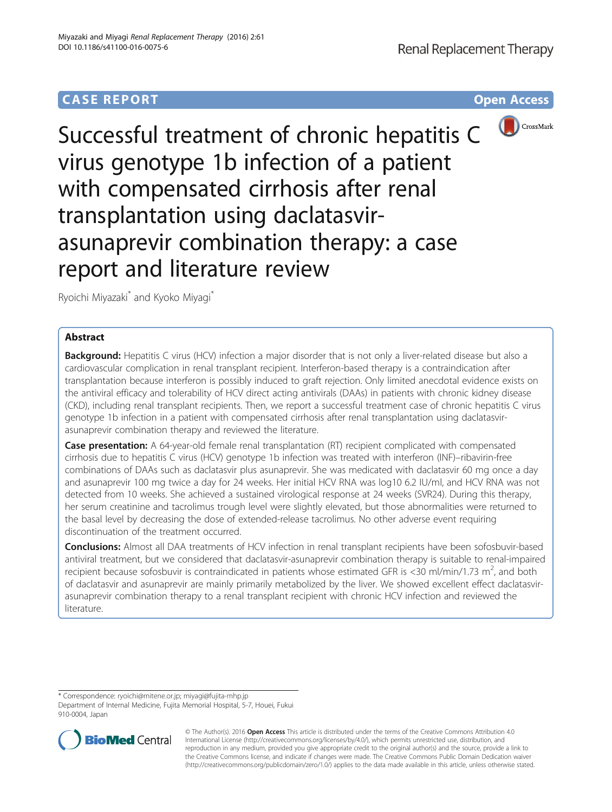# **CASE REPORT CASE REPORT CASE REPORT**



Successful treatment of chronic hepatitis C virus genotype 1b infection of a patient with compensated cirrhosis after renal transplantation using daclatasvirasunaprevir combination therapy: a case report and literature review

Ryoichi Miyazaki\* and Kyoko Miyagi\*

# Abstract

Background: Hepatitis C virus (HCV) infection a major disorder that is not only a liver-related disease but also a cardiovascular complication in renal transplant recipient. Interferon-based therapy is a contraindication after transplantation because interferon is possibly induced to graft rejection. Only limited anecdotal evidence exists on the antiviral efficacy and tolerability of HCV direct acting antivirals (DAAs) in patients with chronic kidney disease (CKD), including renal transplant recipients. Then, we report a successful treatment case of chronic hepatitis C virus genotype 1b infection in a patient with compensated cirrhosis after renal transplantation using daclatasvirasunaprevir combination therapy and reviewed the literature.

**Case presentation:** A 64-year-old female renal transplantation (RT) recipient complicated with compensated cirrhosis due to hepatitis C virus (HCV) genotype 1b infection was treated with interferon (INF)–ribavirin-free combinations of DAAs such as daclatasvir plus asunaprevir. She was medicated with daclatasvir 60 mg once a day and asunaprevir 100 mg twice a day for 24 weeks. Her initial HCV RNA was log10 6.2 IU/ml, and HCV RNA was not detected from 10 weeks. She achieved a sustained virological response at 24 weeks (SVR24). During this therapy, her serum creatinine and tacrolimus trough level were slightly elevated, but those abnormalities were returned to the basal level by decreasing the dose of extended-release tacrolimus. No other adverse event requiring discontinuation of the treatment occurred.

**Conclusions:** Almost all DAA treatments of HCV infection in renal transplant recipients have been sofosbuvir-based antiviral treatment, but we considered that daclatasvir-asunaprevir combination therapy is suitable to renal-impaired recipient because sofosbuvir is contraindicated in patients whose estimated GFR is <30 ml/min/1.73 m<sup>2</sup>, and both of daclatasvir and asunaprevir are mainly primarily metabolized by the liver. We showed excellent effect daclatasvirasunaprevir combination therapy to a renal transplant recipient with chronic HCV infection and reviewed the literature.

\* Correspondence: [ryoichi@mitene.or.jp](mailto:ryoichi@mitene.or.jp); [miyagi@fujita-mhp.jp](mailto:miyagi@fujita-mhp.jp)

Department of Internal Medicine, Fujita Memorial Hospital, 5-7, Houei, Fukui 910-0004, Japan



© The Author(s). 2016 Open Access This article is distributed under the terms of the Creative Commons Attribution 4.0 International License [\(http://creativecommons.org/licenses/by/4.0/](http://creativecommons.org/licenses/by/4.0/)), which permits unrestricted use, distribution, and reproduction in any medium, provided you give appropriate credit to the original author(s) and the source, provide a link to the Creative Commons license, and indicate if changes were made. The Creative Commons Public Domain Dedication waiver [\(http://creativecommons.org/publicdomain/zero/1.0/](http://creativecommons.org/publicdomain/zero/1.0/)) applies to the data made available in this article, unless otherwise stated.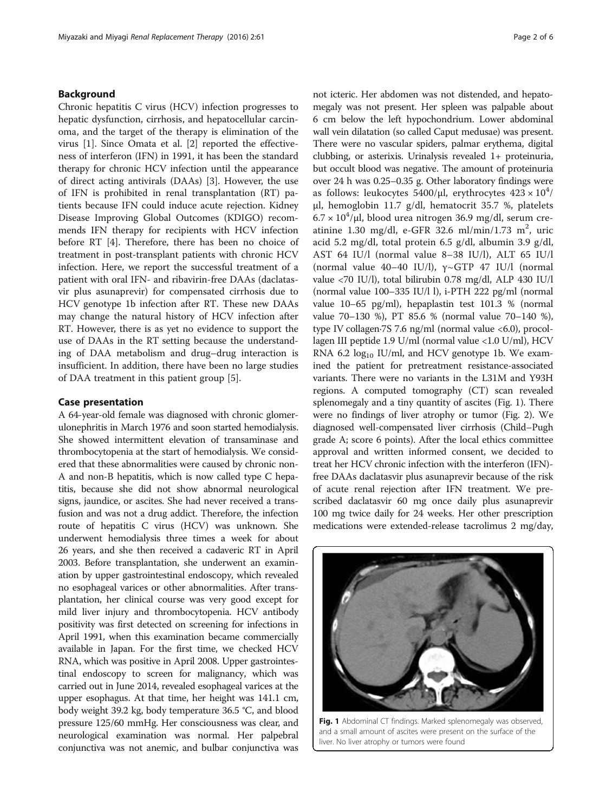# Background

Chronic hepatitis C virus (HCV) infection progresses to hepatic dysfunction, cirrhosis, and hepatocellular carcinoma, and the target of the therapy is elimination of the virus [[1\]](#page-4-0). Since Omata et al. [[2\]](#page-4-0) reported the effectiveness of interferon (IFN) in 1991, it has been the standard therapy for chronic HCV infection until the appearance of direct acting antivirals (DAAs) [\[3\]](#page-4-0). However, the use of IFN is prohibited in renal transplantation (RT) patients because IFN could induce acute rejection. Kidney Disease Improving Global Outcomes (KDIGO) recommends IFN therapy for recipients with HCV infection before RT [\[4\]](#page-4-0). Therefore, there has been no choice of treatment in post-transplant patients with chronic HCV infection. Here, we report the successful treatment of a patient with oral IFN- and ribavirin-free DAAs (daclatasvir plus asunaprevir) for compensated cirrhosis due to HCV genotype 1b infection after RT. These new DAAs may change the natural history of HCV infection after RT. However, there is as yet no evidence to support the use of DAAs in the RT setting because the understanding of DAA metabolism and drug–drug interaction is insufficient. In addition, there have been no large studies of DAA treatment in this patient group [[5](#page-4-0)].

### Case presentation

A 64-year-old female was diagnosed with chronic glomerulonephritis in March 1976 and soon started hemodialysis. She showed intermittent elevation of transaminase and thrombocytopenia at the start of hemodialysis. We considered that these abnormalities were caused by chronic non-A and non-B hepatitis, which is now called type C hepatitis, because she did not show abnormal neurological signs, jaundice, or ascites. She had never received a transfusion and was not a drug addict. Therefore, the infection route of hepatitis C virus (HCV) was unknown. She underwent hemodialysis three times a week for about 26 years, and she then received a cadaveric RT in April 2003. Before transplantation, she underwent an examination by upper gastrointestinal endoscopy, which revealed no esophageal varices or other abnormalities. After transplantation, her clinical course was very good except for mild liver injury and thrombocytopenia. HCV antibody positivity was first detected on screening for infections in April 1991, when this examination became commercially available in Japan. For the first time, we checked HCV RNA, which was positive in April 2008. Upper gastrointestinal endoscopy to screen for malignancy, which was carried out in June 2014, revealed esophageal varices at the upper esophagus. At that time, her height was 141.1 cm, body weight 39.2 kg, body temperature 36.5 °C, and blood pressure 125/60 mmHg. Her consciousness was clear, and neurological examination was normal. Her palpebral conjunctiva was not anemic, and bulbar conjunctiva was not icteric. Her abdomen was not distended, and hepatomegaly was not present. Her spleen was palpable about 6 cm below the left hypochondrium. Lower abdominal wall vein dilatation (so called Caput medusae) was present. There were no vascular spiders, palmar erythema, digital clubbing, or asterixis. Urinalysis revealed 1+ proteinuria, but occult blood was negative. The amount of proteinuria over 24 h was 0.25–0.35 g. Other laboratory findings were as follows: leukocytes 5400/ $\mu$ l, erythrocytes 423 × 10<sup>4</sup>/ μl, hemoglobin 11.7 g/dl, hematocrit 35.7 %, platelets  $6.7 \times 10^4$ /µl, blood urea nitrogen 36.9 mg/dl, serum creatinine 1.30 mg/dl, e-GFR 32.6 ml/min/1.73 m<sup>2</sup>, uric acid 5.2 mg/dl, total protein 6.5 g/dl, albumin 3.9 g/dl, AST 64 IU/l (normal value 8–38 IU/l), ALT 65 IU/l (normal value 40–40 IU/l),  $\gamma \sim GTP$  47 IU/l (normal value <70 IU/l), total bilirubin 0.78 mg/dl, ALP 430 IU/l (normal value 100–335 IU/l l), i-PTH 222 pg/ml (normal value 10–65 pg/ml), hepaplastin test 101.3 % (normal value 70–130 %), PT 85.6 % (normal value 70–140 %), type IV collagen∙7S 7.6 ng/ml (normal value <6.0), procollagen III peptide 1.9 U/ml (normal value <1.0 U/ml), HCV RNA 6.2  $log_{10}$  IU/ml, and HCV genotype 1b. We examined the patient for pretreatment resistance-associated variants. There were no variants in the L31M and Y93H regions. A computed tomography (CT) scan revealed splenomegaly and a tiny quantity of ascites (Fig. 1). There were no findings of liver atrophy or tumor (Fig. [2](#page-2-0)). We diagnosed well-compensated liver cirrhosis (Child–Pugh grade A; score 6 points). After the local ethics committee approval and written informed consent, we decided to treat her HCV chronic infection with the interferon (IFN) free DAAs daclatasvir plus asunaprevir because of the risk of acute renal rejection after IFN treatment. We prescribed daclatasvir 60 mg once daily plus asunaprevir 100 mg twice daily for 24 weeks. Her other prescription medications were extended-release tacrolimus 2 mg/day,



Fig. 1 Abdominal CT findings. Marked splenomegaly was observed, and a small amount of ascites were present on the surface of the liver. No liver atrophy or tumors were found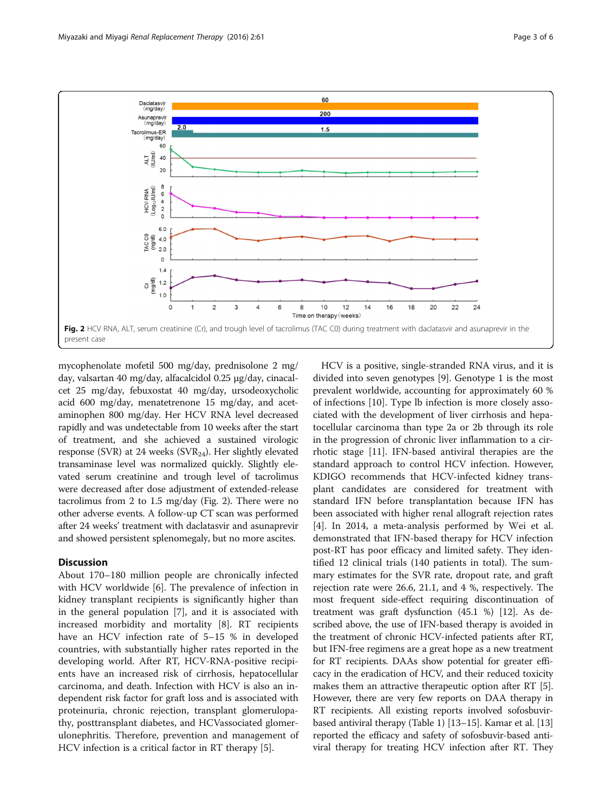<span id="page-2-0"></span>

mycophenolate mofetil 500 mg/day, prednisolone 2 mg/ day, valsartan 40 mg/day, alfacalcidol 0.25 μg/day, cinacalcet 25 mg/day, febuxostat 40 mg/day, ursodeoxycholic acid 600 mg/day, menatetrenone 15 mg/day, and acetaminophen 800 mg/day. Her HCV RNA level decreased rapidly and was undetectable from 10 weeks after the start of treatment, and she achieved a sustained virologic response (SVR) at 24 weeks (SVR<sub>24</sub>). Her slightly elevated transaminase level was normalized quickly. Slightly elevated serum creatinine and trough level of tacrolimus were decreased after dose adjustment of extended-release tacrolimus from 2 to 1.5 mg/day (Fig. 2). There were no other adverse events. A follow-up CT scan was performed after 24 weeks' treatment with daclatasvir and asunaprevir and showed persistent splenomegaly, but no more ascites.

### **Discussion**

About 170–180 million people are chronically infected with HCV worldwide [[6\]](#page-4-0). The prevalence of infection in kidney transplant recipients is significantly higher than in the general population [[7\]](#page-4-0), and it is associated with increased morbidity and mortality [[8](#page-4-0)]. RT recipients have an HCV infection rate of 5–15 % in developed countries, with substantially higher rates reported in the developing world. After RT, HCV-RNA-positive recipients have an increased risk of cirrhosis, hepatocellular carcinoma, and death. Infection with HCV is also an independent risk factor for graft loss and is associated with proteinuria, chronic rejection, transplant glomerulopathy, posttransplant diabetes, and HCVassociated glomerulonephritis. Therefore, prevention and management of HCV infection is a critical factor in RT therapy [[5](#page-4-0)].

HCV is a positive, single-stranded RNA virus, and it is divided into seven genotypes [\[9](#page-4-0)]. Genotype 1 is the most prevalent worldwide, accounting for approximately 60 % of infections [[10\]](#page-4-0). Type lb infection is more closely associated with the development of liver cirrhosis and hepatocellular carcinoma than type 2a or 2b through its role in the progression of chronic liver inflammation to a cirrhotic stage [[11\]](#page-4-0). IFN-based antiviral therapies are the standard approach to control HCV infection. However, KDIGO recommends that HCV-infected kidney transplant candidates are considered for treatment with standard IFN before transplantation because IFN has been associated with higher renal allograft rejection rates [[4\]](#page-4-0). In 2014, a meta-analysis performed by Wei et al. demonstrated that IFN-based therapy for HCV infection post-RT has poor efficacy and limited safety. They identified 12 clinical trials (140 patients in total). The summary estimates for the SVR rate, dropout rate, and graft rejection rate were 26.6, 21.1, and 4 %, respectively. The most frequent side-effect requiring discontinuation of treatment was graft dysfunction (45.1 %) [\[12\]](#page-4-0). As described above, the use of IFN-based therapy is avoided in the treatment of chronic HCV-infected patients after RT, but IFN-free regimens are a great hope as a new treatment for RT recipients. DAAs show potential for greater efficacy in the eradication of HCV, and their reduced toxicity makes them an attractive therapeutic option after RT [[5](#page-4-0)]. However, there are very few reports on DAA therapy in RT recipients. All existing reports involved sofosbuvirbased antiviral therapy (Table [1\)](#page-3-0) [[13](#page-4-0)–[15\]](#page-4-0). Kamar et al. [[13](#page-4-0)] reported the efficacy and safety of sofosbuvir-based antiviral therapy for treating HCV infection after RT. They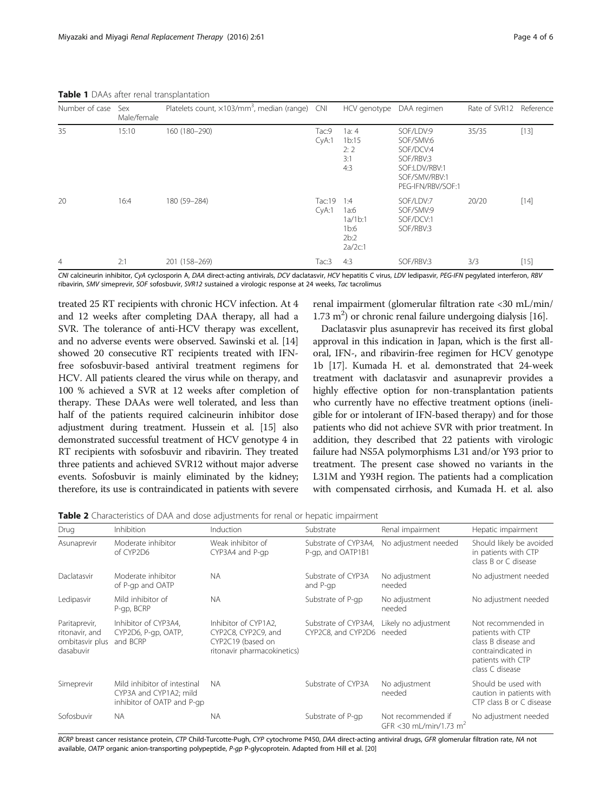<span id="page-3-0"></span>Table 1 DAAs after renal transplantation

| Number of case | Sex<br>Male/female | Platelets count, $\times$ 103/mm <sup>3</sup> , median (range) CNI |                 | HCV genotype                                                  | DAA regimen                                                                                             | Rate of SVR12 | Reference |
|----------------|--------------------|--------------------------------------------------------------------|-----------------|---------------------------------------------------------------|---------------------------------------------------------------------------------------------------------|---------------|-----------|
| 35             | 15:10              | 160 (180-290)                                                      | Tac:9<br>CyA:1  | 1a: $4$<br>1b:15<br>2:2<br>3:1<br>4:3                         | SOF/LDV:9<br>SOF/SMV:6<br>SOF/DCV:4<br>SOF/RBV:3<br>SOF:LDV/RBV:1<br>SOF/SMV/RBV:1<br>PEG-IFN/RBV/SOF:1 | 35/35         | $[13]$    |
| 20             | 16:4               | 180 (59-284)                                                       | Tac:19<br>CyA:1 | 1:4<br>1a:6<br>1a/1b:1<br>1 <sub>b:6</sub><br>2b:2<br>2a/2c:1 | SOF/LDV:7<br>SOF/SMV:9<br>SOF/DCV:1<br>SOF/RBV:3                                                        | 20/20         | $[14]$    |
| $\overline{4}$ | 2:1                | 201 (158-269)                                                      | Tac:3           | 4:3                                                           | SOF/RBV:3                                                                                               | 3/3           | $[15]$    |

CNI calcineurin inhibitor, CyA cyclosporin A, DAA direct-acting antivirals, DCV daclatasvir, HCV hepatitis C virus, LDV ledipasvir, PEG-IFN pegylated interferon, RBV ribavirin, SMV simeprevir, SOF sofosbuvir, SVR12 sustained a virologic response at 24 weeks, Tac tacrolimus

treated 25 RT recipients with chronic HCV infection. At 4 and 12 weeks after completing DAA therapy, all had a SVR. The tolerance of anti-HCV therapy was excellent, and no adverse events were observed. Sawinski et al. [[14](#page-4-0)] showed 20 consecutive RT recipients treated with IFNfree sofosbuvir-based antiviral treatment regimens for HCV. All patients cleared the virus while on therapy, and 100 % achieved a SVR at 12 weeks after completion of therapy. These DAAs were well tolerated, and less than half of the patients required calcineurin inhibitor dose adjustment during treatment. Hussein et al. [\[15\]](#page-4-0) also demonstrated successful treatment of HCV genotype 4 in RT recipients with sofosbuvir and ribavirin. They treated three patients and achieved SVR12 without major adverse events. Sofosbuvir is mainly eliminated by the kidney; therefore, its use is contraindicated in patients with severe renal impairment (glomerular filtration rate <30 mL/min/  $1.73 \text{ m}^2$ ) or chronic renal failure undergoing dialysis [\[16](#page-4-0)].

Daclatasvir plus asunaprevir has received its first global approval in this indication in Japan, which is the first alloral, IFN-, and ribavirin-free regimen for HCV genotype 1b [\[17\]](#page-4-0). Kumada H. et al. demonstrated that 24-week treatment with daclatasvir and asunaprevir provides a highly effective option for non-transplantation patients who currently have no effective treatment options (ineligible for or intolerant of IFN-based therapy) and for those patients who did not achieve SVR with prior treatment. In addition, they described that 22 patients with virologic failure had NS5A polymorphisms L31 and/or Y93 prior to treatment. The present case showed no variants in the L31M and Y93H region. The patients had a complication with compensated cirrhosis, and Kumada H. et al. also

Table 2 Characteristics of DAA and dose adjustments for renal or hepatic impairment

| <b>TWAIL &amp;</b> Characteristics of <i>DIV</i> cand dose adjustments for renar of hepatic impairment |                                                                                      |                                                                                                 |                                            |                                                           |                                                                                                                              |  |  |  |  |
|--------------------------------------------------------------------------------------------------------|--------------------------------------------------------------------------------------|-------------------------------------------------------------------------------------------------|--------------------------------------------|-----------------------------------------------------------|------------------------------------------------------------------------------------------------------------------------------|--|--|--|--|
| Drug                                                                                                   | Inhibition                                                                           | Induction                                                                                       | Substrate                                  | Renal impairment                                          | Hepatic impairment                                                                                                           |  |  |  |  |
| Asunaprevir                                                                                            | Moderate inhibitor<br>of CYP2D6                                                      | Weak inhibitor of<br>CYP3A4 and P-qp                                                            | Substrate of CYP3A4,<br>P-qp, and OATP1B1  | No adjustment needed                                      | Should likely be avoided<br>in patients with CTP<br>class B or C disease                                                     |  |  |  |  |
| Daclatasvir                                                                                            | Moderate inhibitor<br>of P-qp and OATP                                               | <b>NA</b>                                                                                       | Substrate of CYP3A<br>and P-gp             | No adjustment<br>needed                                   | No adjustment needed                                                                                                         |  |  |  |  |
| Ledipasvir                                                                                             | Mild inhibitor of<br>P-qp, BCRP                                                      | <b>NA</b>                                                                                       | Substrate of P-qp                          | No adjustment<br>needed                                   | No adjustment needed                                                                                                         |  |  |  |  |
| Paritaprevir,<br>ritonavir, and<br>ombitasvir plus<br>dasabuvir                                        | Inhibitor of CYP3A4,<br>CYP2D6, P-qp, OATP,<br>and BCRP                              | Inhibitor of CYP1A2.<br>CYP2C8, CYP2C9, and<br>CYP2C19 (based on<br>ritonavir pharmacokinetics) | Substrate of CYP3A4,<br>CYP2C8, and CYP2D6 | Likely no adjustment<br>needed                            | Not recommended in<br>patients with CTP<br>class B disease and<br>contraindicated in<br>patients with CTP<br>class C disease |  |  |  |  |
| Simeprevir                                                                                             | Mild inhibitor of intestinal<br>CYP3A and CYP1A2; mild<br>inhibitor of OATP and P-qp | <b>NA</b>                                                                                       | Substrate of CYP3A                         | No adjustment<br>needed                                   | Should be used with<br>caution in patients with<br>CTP class B or C disease                                                  |  |  |  |  |
| Sofosbuvir                                                                                             | <b>NA</b>                                                                            | <b>NA</b>                                                                                       | Substrate of P-qp                          | Not recommended if<br>GFR < 30 mL/min/1.73 m <sup>2</sup> | No adjustment needed                                                                                                         |  |  |  |  |

BCRP breast cancer resistance protein, CTP Child-Turcotte-Pugh, CYP cytochrome P450, DAA direct-acting antiviral drugs, GFR glomerular filtration rate, NA not available, OATP organic anion-transporting polypeptide, P-gp P-glycoprotein. Adapted from Hill et al. [[20\]](#page-5-0)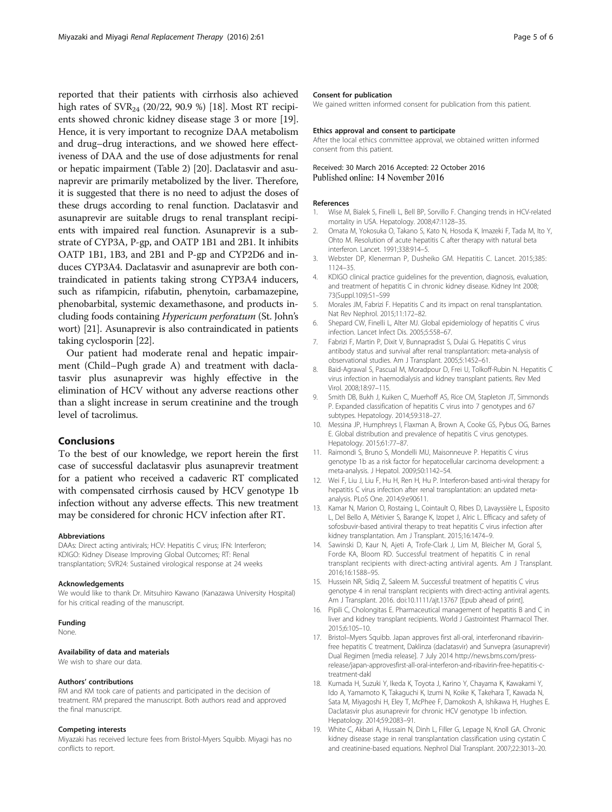<span id="page-4-0"></span>reported that their patients with cirrhosis also achieved high rates of  $\text{SVR}_{24}$  (20/22, 90.9 %) [18]. Most RT recipients showed chronic kidney disease stage 3 or more [19]. Hence, it is very important to recognize DAA metabolism and drug–drug interactions, and we showed here effectiveness of DAA and the use of dose adjustments for renal or hepatic impairment (Table [2](#page-3-0)) [\[20\]](#page-5-0). Daclatasvir and asunaprevir are primarily metabolized by the liver. Therefore, it is suggested that there is no need to adjust the doses of these drugs according to renal function. Daclatasvir and asunaprevir are suitable drugs to renal transplant recipients with impaired real function. Asunaprevir is a substrate of CYP3A, P-gp, and OATP 1B1 and 2B1. It inhibits OATP 1B1, 1B3, and 2B1 and P-gp and CYP2D6 and induces CYP3A4. Daclatasvir and asunaprevir are both contraindicated in patients taking strong CYP3A4 inducers, such as rifampicin, rifabutin, phenytoin, carbamazepine, phenobarbital, systemic dexamethasone, and products including foods containing Hypericum perforatum (St. John's wort) [\[21](#page-5-0)]. Asunaprevir is also contraindicated in patients taking cyclosporin [\[22\]](#page-5-0).

Our patient had moderate renal and hepatic impairment (Child–Pugh grade A) and treatment with daclatasvir plus asunaprevir was highly effective in the elimination of HCV without any adverse reactions other than a slight increase in serum creatinine and the trough level of tacrolimus.

# Conclusions

To the best of our knowledge, we report herein the first case of successful daclatasvir plus asunaprevir treatment for a patient who received a cadaveric RT complicated with compensated cirrhosis caused by HCV genotype 1b infection without any adverse effects. This new treatment may be considered for chronic HCV infection after RT.

#### Abbreviations

DAAs: Direct acting antivirals; HCV: Hepatitis C virus; IFN: Interferon; KDIGO: Kidney Disease Improving Global Outcomes; RT: Renal transplantation; SVR24: Sustained virological response at 24 weeks

#### Acknowledgements

We would like to thank Dr. Mitsuhiro Kawano (Kanazawa University Hospital) for his critical reading of the manuscript.

# Funding

None.

#### Availability of data and materials

We wish to share our data.

## Authors' contributions

RM and KM took care of patients and participated in the decision of treatment. RM prepared the manuscript. Both authors read and approved the final manuscript.

#### Competing interests

Miyazaki has received lecture fees from Bristol-Myers Squibb. Miyagi has no conflicts to report.

#### Consent for publication

We gained written informed consent for publication from this patient.

#### Ethics approval and consent to participate

After the local ethics committee approval, we obtained written informed consent from this patient.

### Received: 30 March 2016 Accepted: 22 October 2016 Published online: 14 November 2016

#### References

- 1. Wise M, Bialek S, Finelli L, Bell BP, Sorvillo F. Changing trends in HCV-related mortality in USA. Hepatology. 2008;47:1128–35.
- 2. Omata M, Yokosuka O, Takano S, Kato N, Hosoda K, Imazeki F, Tada M, Ito Y, Ohto M. Resolution of acute hepatitis C after therapy with natural beta interferon. Lancet. 1991;338:914–5.
- 3. Webster DP, Klenerman P, Dusheiko GM. Hepatitis C. Lancet. 2015;385: 1124–35.
- 4. KDIGO clinical practice guidelines for the prevention, diagnosis, evaluation, and treatment of hepatitis C in chronic kidney disease. Kidney Int 2008; 73(Suppl.109):S1–S99
- 5. Morales JM, Fabrizi F. Hepatitis C and its impact on renal transplantation. Nat Rev Nephrol. 2015;11:172–82.
- 6. Shepard CW, Finelli L, Alter MJ. Global epidemiology of hepatitis C virus infection. Lancet Infect Dis. 2005;5:558–67.
- 7. Fabrizi F, Martin P, Dixit V, Bunnapradist S, Dulai G. Hepatitis C virus antibody status and survival after renal transplantation: meta-analysis of observational studies. Am J Transplant. 2005;5:1452–61.
- 8. Baid-Agrawal S, Pascual M, Moradpour D, Frei U, Tolkoff-Rubin N. Hepatitis C virus infection in haemodialysis and kidney transplant patients. Rev Med Virol. 2008;18:97–115.
- 9. Smith DB, Bukh J, Kuiken C, Muerhoff AS, Rice CM, Stapleton JT, Simmonds P. Expanded classification of hepatitis C virus into 7 genotypes and 67 subtypes. Hepatology. 2014;59:318–27.
- 10. Messina JP, Humphreys I, Flaxman A, Brown A, Cooke GS, Pybus OG, Barnes E. Global distribution and prevalence of hepatitis C virus genotypes. Hepatology. 2015;61:77–87.
- 11. Raimondi S, Bruno S, Mondelli MU, Maisonneuve P. Hepatitis C virus genotype 1b as a risk factor for hepatocellular carcinoma development: a meta-analysis. J Hepatol. 2009;50:1142–54.
- 12. Wei F, Liu J, Liu F, Hu H, Ren H, Hu P. Interferon-based anti-viral therapy for hepatitis C virus infection after renal transplantation: an updated metaanalysis. PLoS One. 2014;9:e90611.
- 13. Kamar N, Marion O, Rostaing L, Cointault O, Ribes D, Lavayssière L, Esposito L, Del Bello A, Métivier S, Barange K, Izopet J, Alric L. Efficacy and safety of sofosbuvir-based antiviral therapy to treat hepatitis C virus infection after kidney transplantation. Am J Transplant. 2015;16:1474–9.
- 14. Sawinski D, Kaur N, Ajeti A, Trofe-Clark J, Lim M, Bleicher M, Goral S, Forde KA, Bloom RD. Successful treatment of hepatitis C in renal transplant recipients with direct-acting antiviral agents. Am J Transplant. 2016;16:1588–95.
- 15. Hussein NR, Sidiq Z, Saleem M. Successful treatment of hepatitis C virus genotype 4 in renal transplant recipients with direct-acting antiviral agents. Am J Transplant. 2016. doi[:10.1111/ajt.13767](http://dx.doi.org/10.1111/ajt.13767) [Epub ahead of print].
- 16. Pipili C, Cholongitas E. Pharmaceutical management of hepatitis B and C in liver and kidney transplant recipients. World J Gastrointest Pharmacol Ther. 2015;6:105–10.
- 17. Bristol–Myers Squibb. Japan approves first all-oral, interferonand ribavirinfree hepatitis C treatment, Daklinza (daclatasvir) and Sunvepra (asunaprevir) Dual Regimen [media release]. 7 July 2014 [http://news.bms.com/press](http://news.bms.com/press-release/japan-approvesfirst-all-oral-interferon-and-ribavirin-free-hepatitis-c-treatment-dakl)[release/japan-approvesfirst-all-oral-interferon-and-ribavirin-free-hepatitis-c](http://news.bms.com/press-release/japan-approvesfirst-all-oral-interferon-and-ribavirin-free-hepatitis-c-treatment-dakl)[treatment-dakl](http://news.bms.com/press-release/japan-approvesfirst-all-oral-interferon-and-ribavirin-free-hepatitis-c-treatment-dakl)
- 18. Kumada H, Suzuki Y, Ikeda K, Toyota J, Karino Y, Chayama K, Kawakami Y, Ido A, Yamamoto K, Takaguchi K, Izumi N, Koike K, Takehara T, Kawada N, Sata M, Miyagoshi H, Eley T, McPhee F, Damokosh A, Ishikawa H, Hughes E. Daclatasvir plus asunaprevir for chronic HCV genotype 1b infection. Hepatology. 2014;59:2083–91.
- 19. White C, Akbari A, Hussain N, Dinh L, Filler G, Lepage N, Knoll GA. Chronic kidney disease stage in renal transplantation classification using cystatin C and creatinine-based equations. Nephrol Dial Transplant. 2007;22:3013–20.